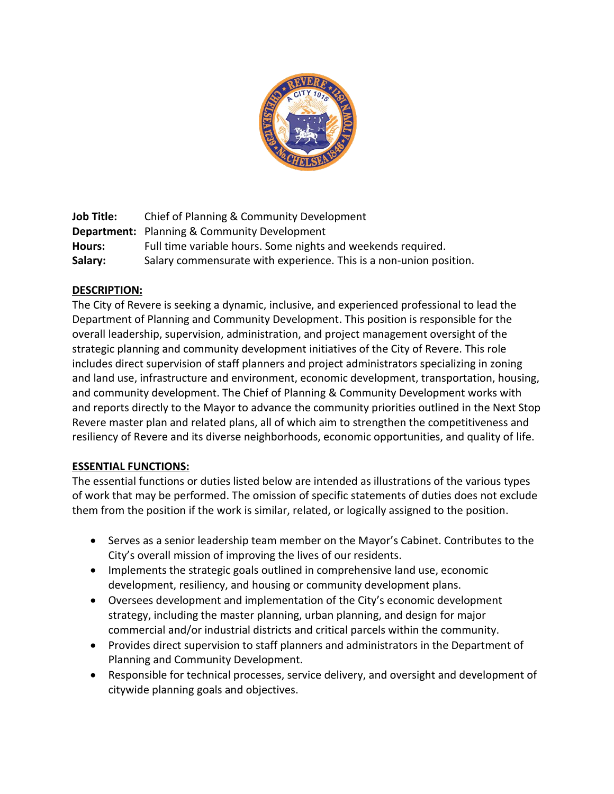

**Job Title:** Chief of Planning & Community Development **Department:** Planning & Community Development **Hours:** Full time variable hours. Some nights and weekends required. **Salary:** Salary commensurate with experience. This is a non-union position.

## **DESCRIPTION:**

The City of Revere is seeking a dynamic, inclusive, and experienced professional to lead the Department of Planning and Community Development. This position is responsible for the overall leadership, supervision, administration, and project management oversight of the strategic planning and community development initiatives of the City of Revere. This role includes direct supervision of staff planners and project administrators specializing in zoning and land use, infrastructure and environment, economic development, transportation, housing, and community development. The Chief of Planning & Community Development works with and reports directly to the Mayor to advance the community priorities outlined in the Next Stop Revere master plan and related plans, all of which aim to strengthen the competitiveness and resiliency of Revere and its diverse neighborhoods, economic opportunities, and quality of life.

## **ESSENTIAL FUNCTIONS:**

The essential functions or duties listed below are intended as illustrations of the various types of work that may be performed. The omission of specific statements of duties does not exclude them from the position if the work is similar, related, or logically assigned to the position.

- Serves as a senior leadership team member on the Mayor's Cabinet. Contributes to the City's overall mission of improving the lives of our residents.
- Implements the strategic goals outlined in comprehensive land use, economic development, resiliency, and housing or community development plans.
- Oversees development and implementation of the City's economic development strategy, including the master planning, urban planning, and design for major commercial and/or industrial districts and critical parcels within the community.
- Provides direct supervision to staff planners and administrators in the Department of Planning and Community Development.
- Responsible for technical processes, service delivery, and oversight and development of citywide planning goals and objectives.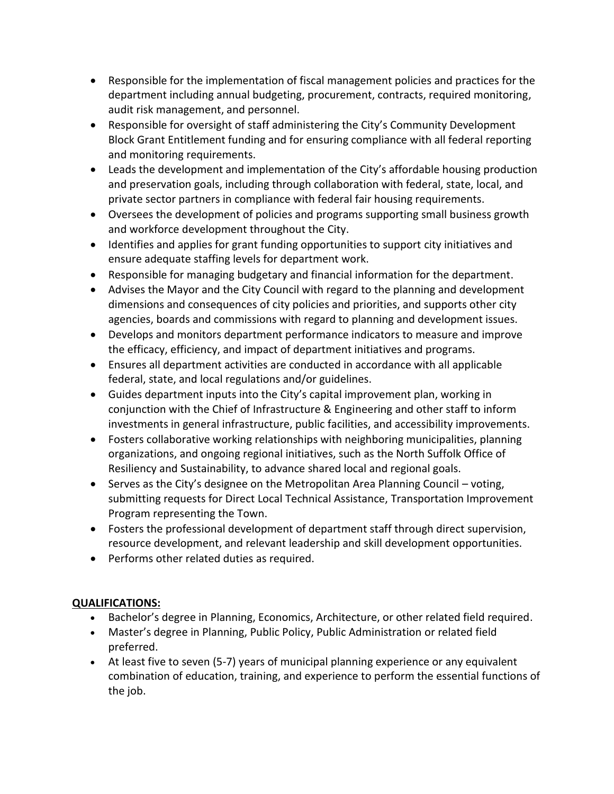- Responsible for the implementation of fiscal management policies and practices for the department including annual budgeting, procurement, contracts, required monitoring, audit risk management, and personnel.
- Responsible for oversight of staff administering the City's Community Development Block Grant Entitlement funding and for ensuring compliance with all federal reporting and monitoring requirements.
- Leads the development and implementation of the City's affordable housing production and preservation goals, including through collaboration with federal, state, local, and private sector partners in compliance with federal fair housing requirements.
- Oversees the development of policies and programs supporting small business growth and workforce development throughout the City.
- Identifies and applies for grant funding opportunities to support city initiatives and ensure adequate staffing levels for department work.
- Responsible for managing budgetary and financial information for the department.
- Advises the Mayor and the City Council with regard to the planning and development dimensions and consequences of city policies and priorities, and supports other city agencies, boards and commissions with regard to planning and development issues.
- Develops and monitors department performance indicators to measure and improve the efficacy, efficiency, and impact of department initiatives and programs.
- Ensures all department activities are conducted in accordance with all applicable federal, state, and local regulations and/or guidelines.
- Guides department inputs into the City's capital improvement plan, working in conjunction with the Chief of Infrastructure & Engineering and other staff to inform investments in general infrastructure, public facilities, and accessibility improvements.
- Fosters collaborative working relationships with neighboring municipalities, planning organizations, and ongoing regional initiatives, such as the North Suffolk Office of Resiliency and Sustainability, to advance shared local and regional goals.
- Serves as the City's designee on the Metropolitan Area Planning Council voting, submitting requests for Direct Local Technical Assistance, Transportation Improvement Program representing the Town.
- Fosters the professional development of department staff through direct supervision, resource development, and relevant leadership and skill development opportunities.
- Performs other related duties as required.

# **QUALIFICATIONS:**

- Bachelor's degree in Planning, Economics, Architecture, or other related field required.
- Master's degree in Planning, Public Policy, Public Administration or related field preferred.
- At least five to seven (5-7) years of municipal planning experience or any equivalent combination of education, training, and experience to perform the essential functions of the job.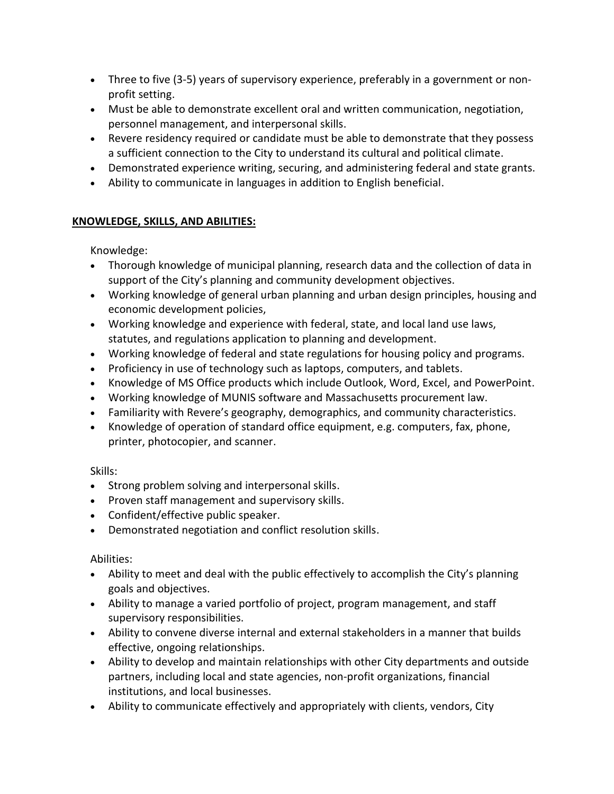- Three to five (3-5) years of supervisory experience, preferably in a government or nonprofit setting.
- Must be able to demonstrate excellent oral and written communication, negotiation, personnel management, and interpersonal skills.
- Revere residency required or candidate must be able to demonstrate that they possess a sufficient connection to the City to understand its cultural and political climate.
- Demonstrated experience writing, securing, and administering federal and state grants.
- Ability to communicate in languages in addition to English beneficial.

## **KNOWLEDGE, SKILLS, AND ABILITIES:**

Knowledge:

- Thorough knowledge of municipal planning, research data and the collection of data in support of the City's planning and community development objectives.
- Working knowledge of general urban planning and urban design principles, housing and economic development policies,
- Working knowledge and experience with federal, state, and local land use laws, statutes, and regulations application to planning and development.
- Working knowledge of federal and state regulations for housing policy and programs.
- Proficiency in use of technology such as laptops, computers, and tablets.
- Knowledge of MS Office products which include Outlook, Word, Excel, and PowerPoint.
- Working knowledge of MUNIS software and Massachusetts procurement law.
- Familiarity with Revere's geography, demographics, and community characteristics.
- Knowledge of operation of standard office equipment, e.g. computers, fax, phone, printer, photocopier, and scanner.

Skills:

- Strong problem solving and interpersonal skills.
- Proven staff management and supervisory skills.
- Confident/effective public speaker.
- Demonstrated negotiation and conflict resolution skills.

# Abilities:

- Ability to meet and deal with the public effectively to accomplish the City's planning goals and objectives.
- Ability to manage a varied portfolio of project, program management, and staff supervisory responsibilities.
- Ability to convene diverse internal and external stakeholders in a manner that builds effective, ongoing relationships.
- Ability to develop and maintain relationships with other City departments and outside partners, including local and state agencies, non-profit organizations, financial institutions, and local businesses.
- Ability to communicate effectively and appropriately with clients, vendors, City